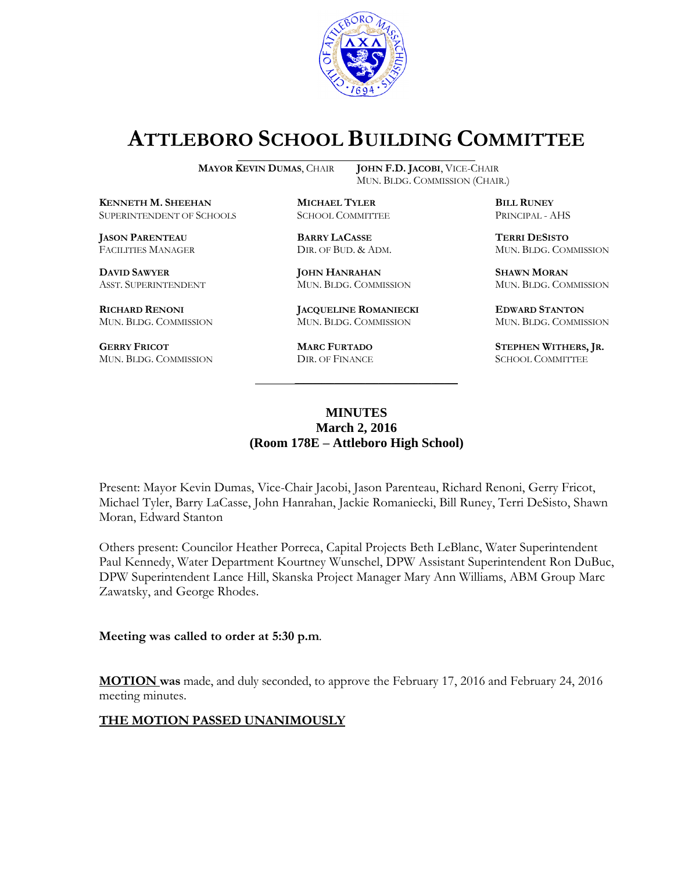

# **ATTLEBORO SCHOOL BUILDING COMMITTEE**

MUN. BLDG. COMMISSION (CHAIR.)

**MAYOR KEVIN DUMAS**, CHAIR **JOHN F.D. JACOBI**, VICE-CHAIR

**KENNETH M. SHEEHAN MICHAEL TYLER BILL RUNEY** SUPERINTENDENT OF SCHOOLS SCHOOL COMMITTEE PRINCIPAL - AHS

**JASON PARENTEAU BARRY LACASSE TERRI DESISTO**

**GERRY FRICOT MARC FURTADO STEPHEN WITHERS, JR.**<br>
MUN. BLDG. COMMISSION DIR. OF FINANCE SCHOOL COMMITTEE MUN. BLDG. COMMISSION DIR. OF FINANCE SCHOOL COMMITTEE

**DAVID SAWYER JOHN HANRAHAN SHAWN MORAN**

**RICHARD RENONI JACQUELINE ROMANIECKI EDWARD STANTON** MUN. BLDG. COMMISSION MUN. BLDG. COMMISSION MUN. BLDG. COMMISSION

FACILITIES MANAGER DIR. OF BUD. & ADM. MUN. BLDG. COMMISSION

ASST. SUPERINTENDENT MUN. BLDG. COMMISSION MUN. BLDG. COMMISSION

### **MINUTES March 2, 2016 (Room 178E – Attleboro High School)**

\_\_\_\_\_\_\_\_\_\_\_\_\_\_\_\_\_\_\_\_\_\_\_\_\_\_\_\_\_\_\_\_\_\_\_\_\_

Present: Mayor Kevin Dumas, Vice-Chair Jacobi, Jason Parenteau, Richard Renoni, Gerry Fricot, Michael Tyler, Barry LaCasse, John Hanrahan, Jackie Romaniecki, Bill Runey, Terri DeSisto, Shawn Moran, Edward Stanton

Others present: Councilor Heather Porreca, Capital Projects Beth LeBlanc, Water Superintendent Paul Kennedy, Water Department Kourtney Wunschel, DPW Assistant Superintendent Ron DuBuc, DPW Superintendent Lance Hill, Skanska Project Manager Mary Ann Williams, ABM Group Marc Zawatsky, and George Rhodes.

**Meeting was called to order at 5:30 p.m**.

**MOTION was** made, and duly seconded, to approve the February 17, 2016 and February 24, 2016 meeting minutes.

#### **THE MOTION PASSED UNANIMOUSLY**